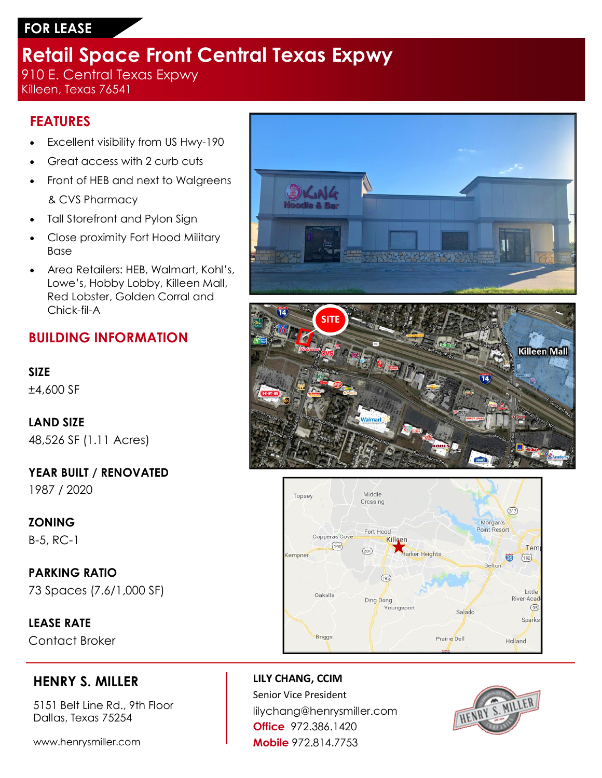# **FOR LEASE**

# **Retail Space Front Central Texas Expwy**

910 E. Central Texas Expwy Killeen, Texas 76541

### **FEATURES**

- Excellent visibility from US Hwy-190
- Great access with 2 curb cuts
- Front of HEB and next to Walgreens & CVS Pharmacy
- Tall Storefront and Pylon Sign
- Close proximity Fort Hood Military Base
- Area Retailers: HEB, Walmart, Kohl's, Lowe's, Hobby Lobby, Killeen Mall, Red Lobster, Golden Corral and Chick-fil-A

## **BUILDING INFORMATION**

#### **SIZE**

±4,600 SF

# **LAND SIZE**

48,526 SF (1.11 Acres)

**YEAR BUILT / RENOVATED** 1987 / 2020

### **ZONING**

B-5, RC-1

### **PARKING RATIO**

73 Spaces (7.6/1,000 SF)

**LEASE RATE** Contact Broker

## **HENRY S. MILLER**

5151 Belt Line Rd., 9th Floor Dallas, Texas 75254

www.henrysmiller.com







**LILY CHANG, CCIM** Senior Vice President lilychang@henrysmiller.com **Office** 972.386.1420 **Mobile** 972.814.7753